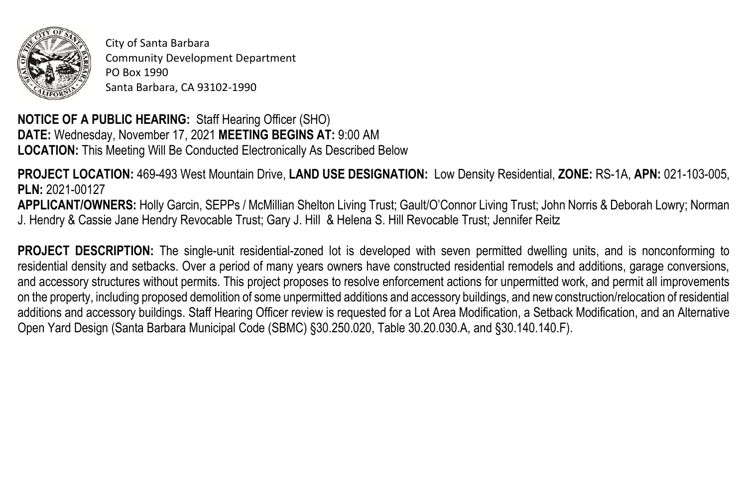

City of Santa Barbara Community Development Department PO Box 1990 Santa Barbara, CA 93102-1990

**NOTICE OF A PUBLIC HEARING:** Staff Hearing Officer (SHO) **DATE:** Wednesday, November 17, 2021 **MEETING BEGINS AT:** 9:00 AM **LOCATION:** This Meeting Will Be Conducted Electronically As Described Below

**PROJECT LOCATION:** 469-493 West Mountain Drive, **LAND USE DESIGNATION:** Low Density Residential, **ZONE:** RS-1A, **APN:** 021-103-005, **PLN:** 2021-00127 **APPLICANT/OWNERS:** Holly Garcin, SEPPs / McMillian Shelton Living Trust; Gault/O'Connor Living Trust; John Norris & Deborah Lowry; Norman J. Hendry & Cassie Jane Hendry Revocable Trust; Gary J. Hill & Helena S. Hill Revocable Trust; Jennifer Reitz

**PROJECT DESCRIPTION:** The single-unit residential-zoned lot is developed with seven permitted dwelling units, and is nonconforming to residential density and setbacks. Over a period of many years owners have constructed residential remodels and additions, garage conversions, and accessory structures without permits. This project proposes to resolve enforcement actions for unpermitted work, and permit all improvements on the property, including proposed demolition of some unpermitted additions and accessory buildings, and new construction/relocation of residential additions and accessory buildings. Staff Hearing Officer review is requested for a Lot Area Modification, a Setback Modification, and an Alternative Open Yard Design (Santa Barbara Municipal Code (SBMC) §30.250.020, Table 30.20.030.A, and §30.140.140.F).